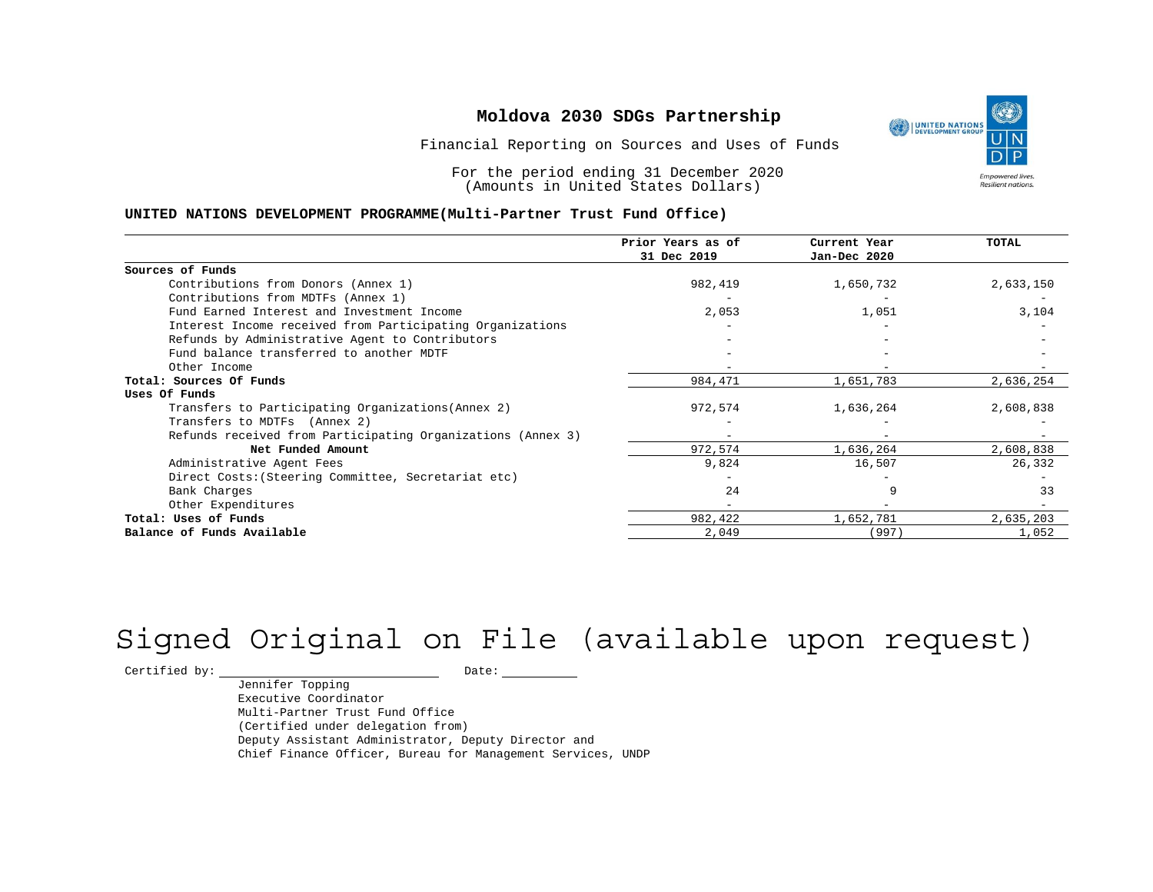Financial Reporting on Sources and Uses of Funds

For the period ending 31 December 2020 (Amounts in United States Dollars)

### **UNITED NATIONS DEVELOPMENT PROGRAMME(Multi-Partner Trust Fund Office)**

|                                                             | Prior Years as of | Current Year | <b>TOTAL</b> |
|-------------------------------------------------------------|-------------------|--------------|--------------|
|                                                             | 31 Dec 2019       | Jan-Dec 2020 |              |
| Sources of Funds                                            |                   |              |              |
| Contributions from Donors (Annex 1)                         | 982,419           | 1,650,732    | 2,633,150    |
| Contributions from MDTFs (Annex 1)                          |                   |              |              |
| Fund Earned Interest and Investment Income                  | 2,053             | 1,051        | 3,104        |
| Interest Income received from Participating Organizations   |                   |              |              |
| Refunds by Administrative Agent to Contributors             |                   |              |              |
| Fund balance transferred to another MDTF                    |                   |              |              |
| Other Income                                                |                   |              |              |
| Total: Sources Of Funds                                     | 984,471           | 1,651,783    | 2,636,254    |
| Uses Of Funds                                               |                   |              |              |
| Transfers to Participating Organizations (Annex 2)          | 972,574           | 1,636,264    | 2,608,838    |
| Transfers to MDTFs (Annex 2)                                |                   |              |              |
| Refunds received from Participating Organizations (Annex 3) | $\qquad \qquad -$ |              |              |
| Net Funded Amount                                           | 972,574           | 1,636,264    | 2,608,838    |
| Administrative Agent Fees                                   | 9,824             | 16,507       | 26,332       |
| Direct Costs: (Steering Committee, Secretariat etc)         |                   |              |              |
| Bank Charges                                                | 24                |              | 33           |
| Other Expenditures                                          |                   |              |              |
| Total: Uses of Funds                                        | 982,422           | 1,652,781    | 2,635,203    |
| Balance of Funds Available                                  | 2,049             | (997)        | 1,052        |

# Signed Original on File (available upon request)

Certified by: Date:

Jennifer Topping Executive Coordinator Multi-Partner Trust Fund Office (Certified under delegation from) Deputy Assistant Administrator, Deputy Director and Chief Finance Officer, Bureau for Management Services, UNDP

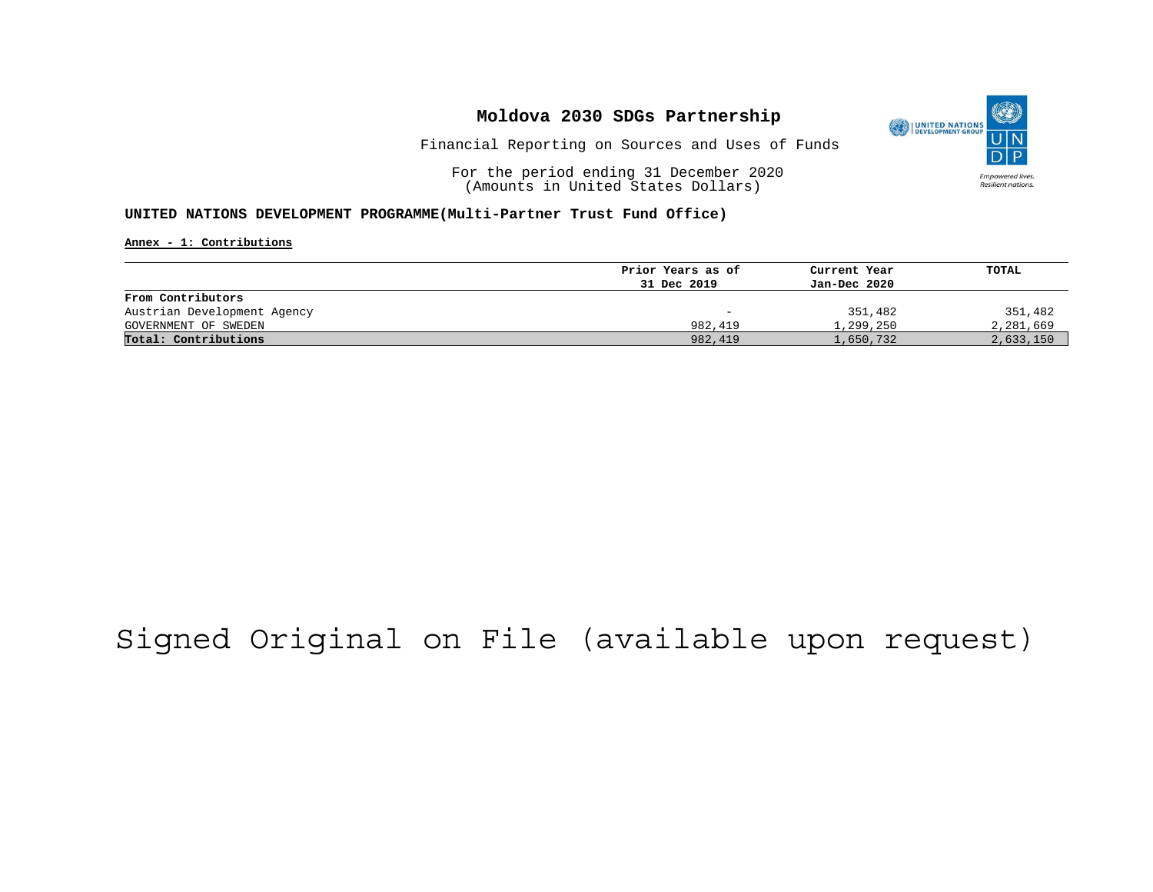

Financial Reporting on Sources and Uses of Funds

For the period ending 31 December 2020 (Amounts in United States Dollars)

#### **UNITED NATIONS DEVELOPMENT PROGRAMME(Multi-Partner Trust Fund Office)**

**Annex - 1: Contributions**

|                             | Prior Years as of | Current Year | TOTAL     |
|-----------------------------|-------------------|--------------|-----------|
|                             | 31 Dec 2019       | Jan-Dec 2020 |           |
| From Contributors           |                   |              |           |
| Austrian Development Agency | -                 | 351,482      | 351,482   |
| GOVERNMENT OF SWEDEN        | 982,419           | 1,299,250    | 2,281,669 |
| Total: Contributions        | 982,419           | 1,650,732    | 2,633,150 |

## Signed Original on File (available upon request)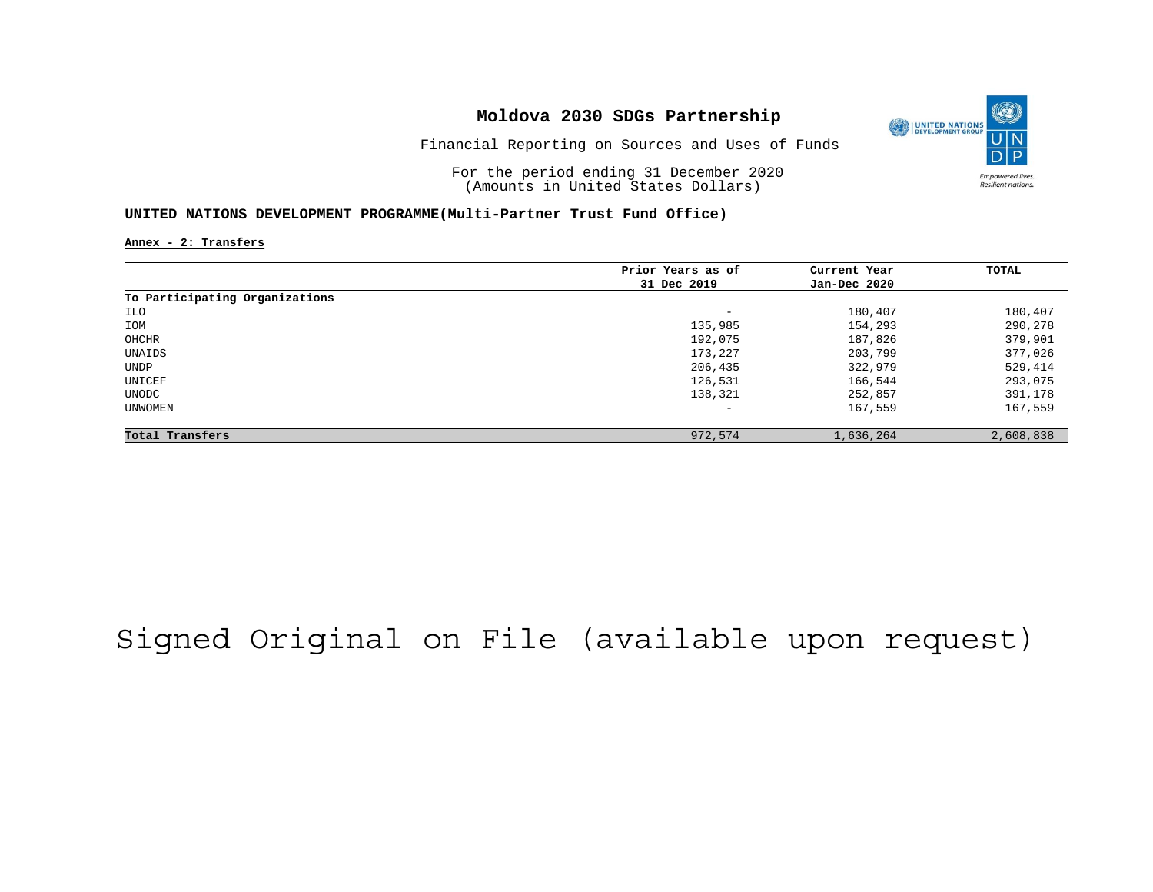

Financial Reporting on Sources and Uses of Funds

For the period ending 31 December 2020 (Amounts in United States Dollars)

#### **UNITED NATIONS DEVELOPMENT PROGRAMME(Multi-Partner Trust Fund Office)**

**Annex - 2: Transfers**

|                                | Prior Years as of | Current Year | TOTAL     |
|--------------------------------|-------------------|--------------|-----------|
|                                | 31 Dec 2019       | Jan-Dec 2020 |           |
| To Participating Organizations |                   |              |           |
| ILO                            | -                 | 180,407      | 180,407   |
| IOM                            | 135,985           | 154,293      | 290,278   |
| OHCHR                          | 192,075           | 187,826      | 379,901   |
| UNAIDS                         | 173,227           | 203,799      | 377,026   |
| UNDP                           | 206,435           | 322,979      | 529,414   |
| UNICEF                         | 126,531           | 166,544      | 293,075   |
| UNODC                          | 138,321           | 252,857      | 391,178   |
| <b>UNWOMEN</b>                 | -                 | 167,559      | 167,559   |
| Total Transfers                | 972,574           | 1,636,264    | 2,608,838 |

## Signed Original on File (available upon request)